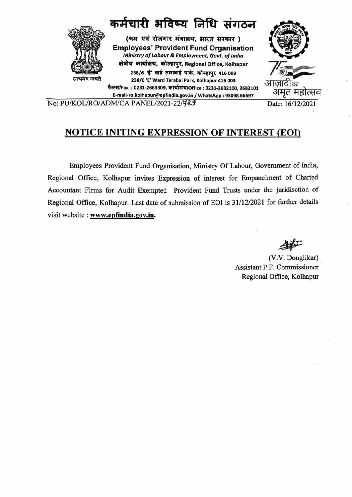

No: PU/KOL/RO/ADM/CA PANEL/2021-22/789 Date: 16/12/2021

# **NOTICE INITING EXPRESSION OF INTEREST (EOI)**

Employees Provident Fund Organisation, Ministry Of Labour, Government of India, Regional Office, Kolhapur invites Expression of interest for Empanelment of Charted Accountant Firms for Audit Exempted Provident Fund Trusts under the juridisction of Regional Office, Kolhapur. Last date of submission of EOI is 31/12/2021 for further details visit website: **www.epfindia.gov.in.** 

(V.V. Donglikar) Assistant P.F. Commissioner Regional Office, Kolhapur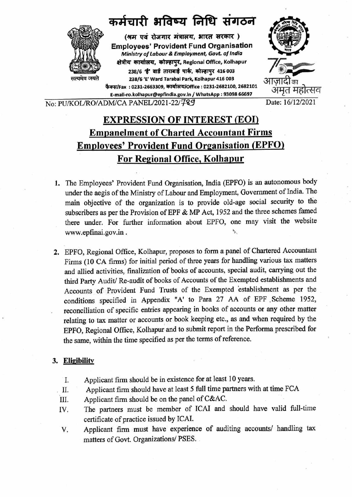

# **EXPRESSION OF INTEREST (EOI) Empanelment of Charted Accountant Firms Employees' Provident Fund Organisation (EPFO) For Regional Office, Kolhapur**

- **1.** The Employees' Provident Fund Organisation, India (EPFO) is an autonomous body under the aegis of the Ministry of Labour and Employment, Government of India. The main objective of the organization is to provide old-age social security to the subscribers as per the Provision of EPF & MP Act, 1952 and the three schemes famed there under. For further information about EPFO, one may visit the website www.epfinai.gov.in .
- 2. EPFO, Regional Office, Kolhapur, proposes to form a panel of Chartered Accountant Firms (10 CA firms) for initial period of three years for handling various tax matters and allied activities, finalization of books of accounts, special audit, carrying out the third Party Audit/ Re-audit of books of Accounts of the Exempted establishments and Accounts of Provident Fund Trusts of the Exempted 'establishment as per the conditions specified in Appendix "A' to Para 27 AA of EPF .Scheme 1952, reconciliation of specific entries appearing in books of accounts or any other matter relating to tax matter or accounts or book keeping etc., as and when required by the ' EPFO, Regional Office, Kolhapur and to submit report in the Performa prescribed for the same, within the time specified as per the terms of reference.

## **3. Eligibility**

- I. Applicant firm should be in existence for at least 10 years.
- II. Applicant firm should have at least 5 full time partners with at time FCA
- III. Applicant firm should be on the panel of  $C&AC$ .
- IV. The partners must be member of ICAI and should have valid full-time certificate of practice issued by ICAI.
- V. Applicant firm must have experience of auditing accounts/ handling tax matters of Govt. Organizations/ PSES . .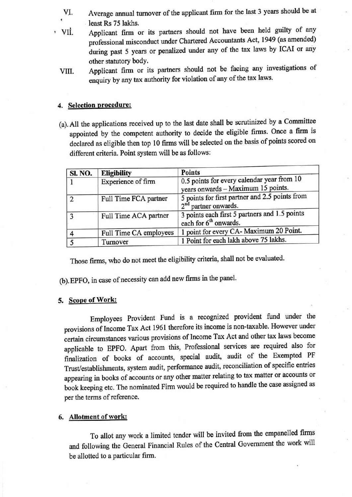- VI. Average annual turnover of the applicant firm for the last 3 years should be at least Rs 75 lakhs.
- ' Vii. Applicant firm or its partners should not have been held guilty of any professional misconduct under Chartered Accountants Act, 1949 (as amended) during past 5 years or penalized under any of the tax laws by ICAI or any other statutory body.
	- VIII. Applicant firm or its partners should not be facing any investigations of enquiry by any tax authority for violation of any of the tax laws.

### **4. Selection procedure:**

(a). All the applications received up to the last date shall be scrutinized by a Committee appointed by the competent authority to decide the eligible firms. Once a firm is declared as eligible then top 10 firms will be selected on the basis of points scored on different criteria. Point system will be as follows:

| <b>SI. NO.</b> | <b>Eligibility</b>                                                                                     | <b>Points</b>                                                                      |  |
|----------------|--------------------------------------------------------------------------------------------------------|------------------------------------------------------------------------------------|--|
|                | 0.5 points for every calendar year from 10<br>Experience of firm<br>years onwards - Maximum 15 points. |                                                                                    |  |
| ာ              | Full Time FCA partner                                                                                  | 5 points for first partner and 2.5 points from<br>2 <sup>nd</sup> partner onwards. |  |
| ર              | Full Time ACA partner                                                                                  | 3 points each first 5 partners and 1.5 points<br>each for 6 <sup>th</sup> onwards. |  |
|                | Full Time CA employees                                                                                 | 1 point for every CA- Maximum 20 Point.                                            |  |
|                | Turnover                                                                                               | 1 Point for each lakh above 75 lakhs.                                              |  |

Those firms, who do not meet the eligibility criteria, shall not be evaluated.

(b). EPFO, in case of necessity can add new firms in the panel.

#### **S. Scope of Work:**

Employees Provident Fund is a recognized provident fund under the provisions of Income Tax Act 1961 therefore its income is non-taxable. However under certain circumstances various provisions of Income Tax Act and other tax laws become applicable to EPFO. Apart from this, Professional services are required also for finalization of books of accounts, special audit, audit of the Exempted PF Trust/establishments, system audit, performance audit, reconciliation of specific entries appearing in books of accounts or any other matter relating to tax matter or accounts or book keeping etc. The nominated Firm would be required to handle the case assigned as per the terms of reference.

### **6. Allotment of work:**

To allot any work a limited tender will be invited from the empanelled firms and following the General Financial Rules of the Central Government the work will be allotted to a particular firm.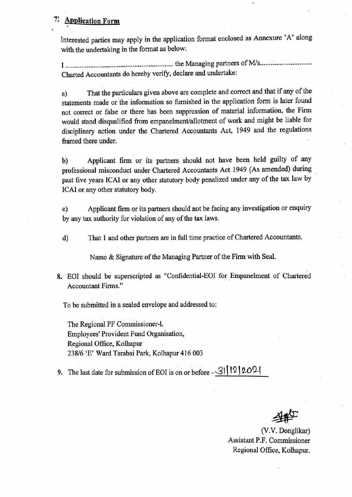#### **7! Application Form**  '

Interested parties may apply in the application format enclosed as Annexure 'A' along with the undertaking in the format as below:

I ............................................................. the Managing partners of Mis ....... : .................... . Charted Accountants do hereby verify, declare and undertake:

a) That the particulars given above are complete and correct and that if any of the statements made or the information so furnished in the application form is later found not correct or false or there has been suppression of material information, the Firm would stand disqualified from empanelment/allotment of work and might be liable for disciplinary action under the Chartered Accountants Act, 1949 and the regulations framed there under.

b) Applicant firm or its partners should not have been held guilty of any professional misconduct under Chartered Accountants Act 1949 (As amended) during past five years !CAI or any other statutory body penalized under any of the tax law by ICAI or any other statutory body.

c) Applicant firm or its partners should not be facing any investigation or enquiry by any tax authority for violation of any of the tax laws.

d) That 1 and other partners are in full time practice of Chartered Accountants.

Name & Signature of the Managing Partner of the Firm with Seal.

8. EOI should be superscripted as "Confidential-EOI for Empanelment of Chartered Accountant Firms."

To be submitted in a sealed envelope and addressed to:

The Regional PF Commissioner-I. Employees' Provident Fund Organisation, Regional Office, Kolhapur 238/6 'E' Ward Tarabai Park, Kolhapur 416 003

9. The last date for submission of EOI is on or before - 31 | 12 | 2021

(V.V. Donglikar) Assistant P.F. Commissioner Regional Office, Kolhapur.